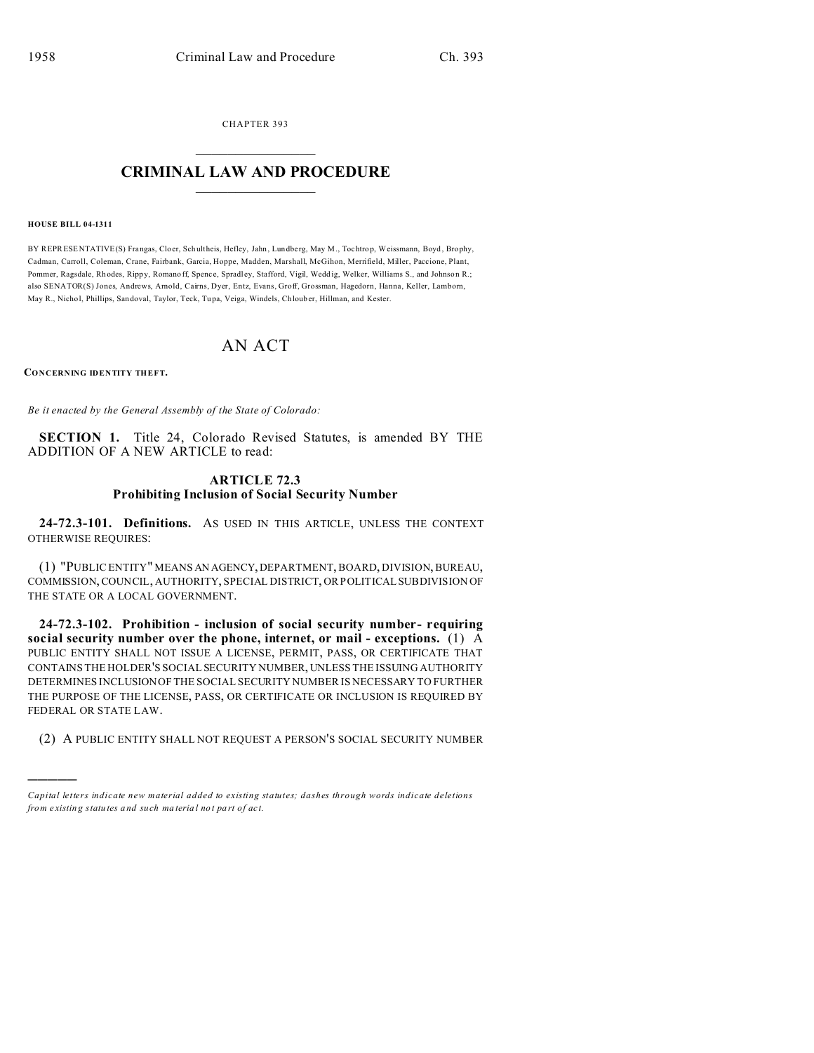**CHAPTER 393** 

## **CRIMINAL LAW AND PROCEDURE**

## **HOUSE BILL 04-1311**

BY REPRESENTATIVE(S) Frangas, Cloer, Schultheis, Hefley, Jahn, Lundberg, May M., Tochtrop, Weissmann, Boyd, Brophy, Cadman, Carroll, Coleman, Crane, Fairbank, Garcia, Hoppe, Madden, Marshall, McGihon, Merrifield, Miller, Paccione, Plant, Pommer, Ragsdale, Rhodes, Rippy, Romanoff, Spence, Spradley, Stafford, Vigil, Weddig, Welker, Williams S., and Johnson R.; also SENATOR(S) Jones, Andrews, Amold, Cairns, Dyer, Entz, Evans, Groff, Grossman, Hagedorn, Hanna, Keller, Lambom, May R., Nichol, Phillips, Sandoval, Taylor, Teck, Tupa, Veiga, Windels, Chlouber, Hillman, and Kester.

## AN ACT

**CONCERNING IDENTITY THEFT.** 

Be it enacted by the General Assembly of the State of Colorado:

SECTION 1. Title 24, Colorado Revised Statutes, is amended BY THE ADDITION OF A NEW ARTICLE to read:

## **ARTICLE 72.3 Prohibiting Inclusion of Social Security Number**

24-72.3-101. Definitions. As USED IN THIS ARTICLE, UNLESS THE CONTEXT **OTHERWISE REQUIRES:** 

(1) "PUBLIC ENTITY" MEANS AN AGENCY, DEPARTMENT, BOARD, DIVISION, BUREAU, COMMISSION, COUNCIL, AUTHORITY, SPECIAL DISTRICT, OR POLITICAL SUBDIVISION OF THE STATE OR A LOCAL GOVERNMENT.

24-72.3-102. Prohibition - inclusion of social security number- requiring social security number over the phone, internet, or mail - exceptions.  $(1)$  A PUBLIC ENTITY SHALL NOT ISSUE A LICENSE, PERMIT, PASS, OR CERTIFICATE THAT CONTAINS THE HOLDER'S SOCIAL SECURITY NUMBER, UNLESS THE ISSUING AUTHORITY DETERMINES INCLUSION OF THE SOCIAL SECURITY NUMBER IS NECESSARY TO FURTHER THE PURPOSE OF THE LICENSE, PASS, OR CERTIFICATE OR INCLUSION IS REQUIRED BY FEDERAL OR STATE LAW.

(2) A PUBLIC ENTITY SHALL NOT REQUEST A PERSON'S SOCIAL SECURITY NUMBER

Capital letters indicate new material added to existing statutes; dashes through words indicate deletions from existing statutes and such material not part of act.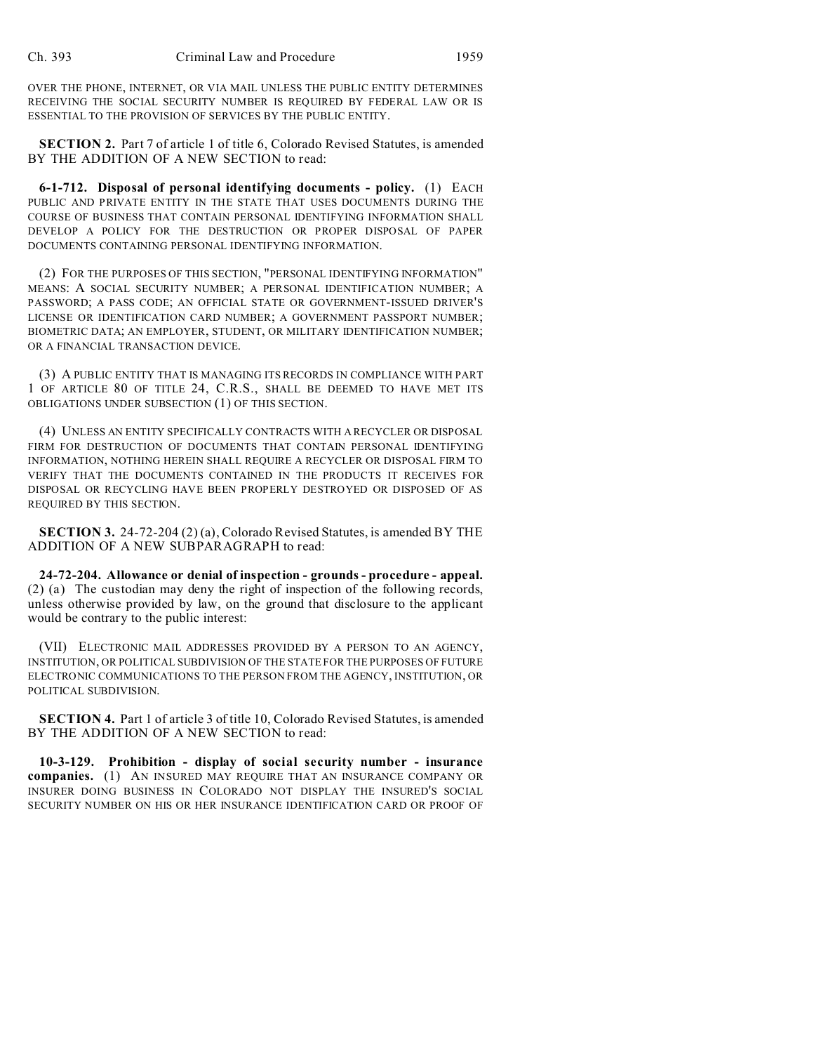OVER THE PHONE, INTERNET, OR VIA MAIL UNLESS THE PUBLIC ENTITY DETERMINES RECEIVING THE SOCIAL SECURITY NUMBER IS REQUIRED BY FEDERAL LAW OR IS ESSENTIAL TO THE PROVISION OF SERVICES BY THE PUBLIC ENTITY.

**SECTION 2.** Part 7 of article 1 of title 6, Colorado Revised Statutes, is amended BY THE ADDITION OF A NEW SECTION to read:

**6-1-712. Disposal of personal identifying documents - policy.** (1) EACH PUBLIC AND PRIVATE ENTITY IN THE STATE THAT USES DOCUMENTS DURING THE COURSE OF BUSINESS THAT CONTAIN PERSONAL IDENTIFYING INFORMATION SHALL DEVELOP A POLICY FOR THE DESTRUCTION OR PROPER DISPOSAL OF PAPER DOCUMENTS CONTAINING PERSONAL IDENTIFYING INFORMATION.

(2) FOR THE PURPOSES OF THIS SECTION, "PERSONAL IDENTIFYING INFORMATION" MEANS: A SOCIAL SECURITY NUMBER; A PERSONAL IDENTIFICATION NUMBER; A PASSWORD; A PASS CODE; AN OFFICIAL STATE OR GOVERNMENT-ISSUED DRIVER'S LICENSE OR IDENTIFICATION CARD NUMBER; A GOVERNMENT PASSPORT NUMBER; BIOMETRIC DATA; AN EMPLOYER, STUDENT, OR MILITARY IDENTIFICATION NUMBER; OR A FINANCIAL TRANSACTION DEVICE.

(3) A PUBLIC ENTITY THAT IS MANAGING ITS RECORDS IN COMPLIANCE WITH PART 1 OF ARTICLE 80 OF TITLE 24, C.R.S., SHALL BE DEEMED TO HAVE MET ITS OBLIGATIONS UNDER SUBSECTION (1) OF THIS SECTION.

(4) UNLESS AN ENTITY SPECIFICALLY CONTRACTS WITH A RECYCLER OR DISPOSAL FIRM FOR DESTRUCTION OF DOCUMENTS THAT CONTAIN PERSONAL IDENTIFYING INFORMATION, NOTHING HEREIN SHALL REQUIRE A RECYCLER OR DISPOSAL FIRM TO VERIFY THAT THE DOCUMENTS CONTAINED IN THE PRODUCTS IT RECEIVES FOR DISPOSAL OR RECYCLING HAVE BEEN PROPERLY DESTROYED OR DISPOSED OF AS REQUIRED BY THIS SECTION.

**SECTION 3.** 24-72-204 (2) (a), Colorado Revised Statutes, is amended BY THE ADDITION OF A NEW SUBPARAGRAPH to read:

**24-72-204. Allowance or denial of inspection - grounds - procedure - appeal.** (2) (a) The custodian may deny the right of inspection of the following records, unless otherwise provided by law, on the ground that disclosure to the applicant would be contrary to the public interest:

(VII) ELECTRONIC MAIL ADDRESSES PROVIDED BY A PERSON TO AN AGENCY, INSTITUTION, OR POLITICAL SUBDIVISION OF THE STATE FOR THE PURPOSES OF FUTURE ELECTRONIC COMMUNICATIONS TO THE PERSON FROM THE AGENCY, INSTITUTION, OR POLITICAL SUBDIVISION.

**SECTION 4.** Part 1 of article 3 of title 10, Colorado Revised Statutes, is amended BY THE ADDITION OF A NEW SECTION to read:

**10-3-129. Prohibition - display of social security number - insurance companies.** (1) AN INSURED MAY REQUIRE THAT AN INSURANCE COMPANY OR INSURER DOING BUSINESS IN COLORADO NOT DISPLAY THE INSURED'S SOCIAL SECURITY NUMBER ON HIS OR HER INSURANCE IDENTIFICATION CARD OR PROOF OF